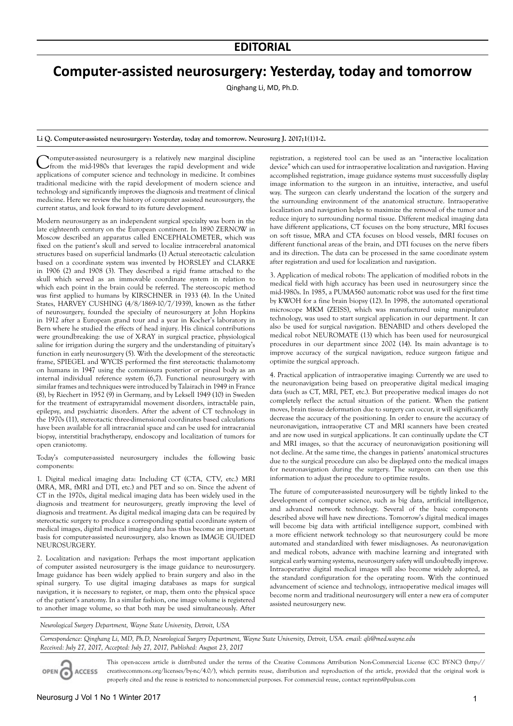## **Computer-assisted neurosurgery: Yesterday, today and tomorrow**

Qinghang Li, MD, Ph.D.

## **Li Q. Computer-assisted neurosurgery: Yesterday, today and tomorrow. Neurosurg J. 2017;1(1)1-2.**

Computer-assisted neurosurgery is a relatively new marginal discipline from the mid-1980s that leverages the rapid development and wide applications of computer science and technology in medicine. It combines traditional medicine with the rapid development of modern science and technology and significantly improves the diagnosis and treatment of clinical medicine. Here we review the history of computer assisted neurosurgery, the current status, and look forward to its future development.

Modern neurosurgery as an independent surgical specialty was born in the late eighteenth century on the European continent. In 1890 ZERNOW in Moscow described an apparatus called ENCEPHALOMETER, which was fixed on the patient's skull and served to localize intracerebral anatomical structures based on superficial landmarks (1) Actual stereotactic calculation based on a coordinate system was invented by HORSLEY and CLARKE in 1906 (2) and 1908 (3). They described a rigid frame attached to the skull which served as an immovable coordinate system in relation to which each point in the brain could be referred. The stereoscopic method was first applied to humans by KIRSCHNER in 1933 (4). In the United States, HARVEY CUSHING (4/8/1869-10/7/1939), known as the father of neurosurgery, founded the specialty of neurosurgery at John Hopkins in 1912 after a European grand tour and a year in Kocher's laboratory in Bern where he studied the effects of head injury. His clinical contributions were groundbreaking: the use of X-RAY in surgical practice, physiological saline for irrigation during the surgery and the understanding of pituitary's function in early neurosurgery (5). With the development of the stereotactic frame, SPIEGEL and WYCIS performed the first stereotactic thalamotomy on humans in 1947 using the commissura posterior or pineal body as an internal individual reference system (6,7). Functional neurosurgery with similar frames and techniques were introduced by Talairach in 1949 in France (8), by Riechert in 1952 (9) in Germany, and by Leksell 1949 (10) in Sweden for the treatment of extrapyramidal movement disorders, intractable pain, epilepsy, and psychiatric disorders. After the advent of CT technology in the 1970s (11), stereotactic three-dimensional coordinates based calculations have been available for all intracranial space and can be used for intracranial biopsy, interstitial brachytherapy, endoscopy and localization of tumors for open craniotomy.

Today's computer-assisted neurosurgery includes the following basic components:

1. Digital medical imaging data: Including CT (CTA, CTV, etc.) MRI (MRA, MR, fMRI and DTI, etc.) and PET and so on. Since the advent of CT in the 1970s, digital medical imaging data has been widely used in the diagnosis and treatment for neurosurgery, greatly improving the level of diagnosis and treatment. As digital medical imaging data can be required by stereotactic surgery to produce a corresponding spatial coordinate system of medical images, digital medical imaging data has thus become an important basis for computer-assisted neurosurgery, also known as IMAGE GUIDED NEUROSURGERY.

2. Localization and navigation: Perhaps the most important application of computer assisted neurosurgery is the image guidance to neurosurgery. Image guidance has been widely applied to brain surgery and also in the spinal surgery. To use digital imaging databases as maps for surgical navigation, it is necessary to register, or map, them onto the physical space of the patient's anatomy. In a similar fashion, one image volume is registered to another image volume, so that both may be used simultaneously. After registration, a registered tool can be used as an "interactive localization device" which can used for intraoperative localization and navigation. Having accomplished registration, image guidance systems must successfully display image information to the surgeon in an intuitive, interactive, and useful way. The surgeon can clearly understand the location of the surgery and the surrounding environment of the anatomical structure. Intraoperative localization and navigation helps to maximize the removal of the tumor and reduce injury to surrounding normal tissue. Different medical imaging data have different applications, CT focuses on the bony structure, MRI focuses on soft tissue, MRA and CTA focuses on blood vessels, fMRI focuses on different functional areas of the brain, and DTI focuses on the nerve fibers and its direction. The data can be processed in the same coordinate system after registration and used for localization and navigation.

3. Application of medical robots: The application of modified robots in the medical field with high accuracy has been used in neurosurgery since the mid-1980s. In 1985, a PUMA560 automatic robot was used for the first time by KWOH for a fine brain biopsy (12). In 1998, the automated operational microscope MKM (ZEISS), which was manufactured using manipulator technology, was used to start surgical application in our department. It can also be used for surgical navigation. BENABID and others developed the medical robot NEUROMATE (13) which has been used for neurosurgical procedures in our department since 2002 (14). Its main advantage is to improve accuracy of the surgical navigation, reduce surgeon fatigue and optimize the surgical approach.

4. Practical application of intraoperative imaging: Currently we are used to the neuronavigation being based on preoperative digital medical imaging data (such as CT, MRI, PET, etc.). But preoperative medical images do not completely reflect the actual situation of the patient. When the patient moves, brain tissue deformation due to surgery can occur, it will significantly decrease the accuracy of the positioning. In order to ensure the accuracy of neuronavigation, intraoperative CT and MRI scanners have been created and are now used in surgical applications. It can continually update the CT and MRI images, so that the accuracy of neuronavigation positioning will not decline. At the same time, the changes in patients' anatomical structures due to the surgical procedure can also be displayed onto the medical images for neuronavigation during the surgery. The surgeon can then use this information to adjust the procedure to optimize results.

The future of computer-assisted neurosurgery will be tightly linked to the development of computer science, such as big data, artificial intelligence, and advanced network technology. Several of the basic components described above will have new directions. Tomorrow's digital medical images will become big data with artificial intelligence support, combined with a more efficient network technology so that neurosurgery could be more automated and standardized with fewer misdiagnoses. As neuronavigation and medical robots, advance with machine learning and integrated with surgical early warning systems, neurosurgery safety will undoubtedly improve. Intraoperative digital medical images will also become widely adopted, as the standard configuration for the operating room. With the continued advancement of science and technology, intraoperative medical images will become norm and traditional neurosurgery will enter a new era of computer assisted neurosurgery new.

*Neurological Surgery Department, Wayne State University, Detroit, USA*

*Correspondence: Qinghang Li, MD, Ph.D, Neurological Surgery Department, Wayne State University, Detroit, USA. email: qli@med.wayne.edu Received: July 27, 2017, Accepted: July 27, 2017, Published: August 23, 2017*

OPEN C **ACCESS** 

This open-access article is distributed under the terms of the Creative Commons Attribution Non-Commercial License (CC BY-NC) (http:// creativecommons.org/licenses/by-nc/4.0/), which permits reuse, distribution and reproduction of the article, provided that the original work is properly cited and the reuse is restricted to noncommercial purposes. For commercial reuse, contact reprints@pulsus.com